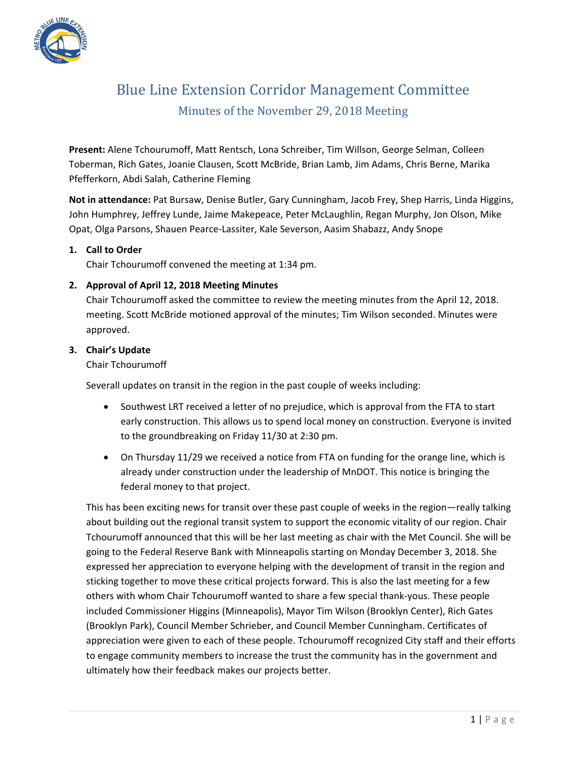

# Blue Line Extension Corridor Management Committee Minutes of the November 29, 2018 Meeting

**Present:** Alene Tchourumoff, Matt Rentsch, Lona Schreiber, Tim Willson, George Selman, Colleen Toberman, Rich Gates, Joanie Clausen, Scott McBride, Brian Lamb, Jim Adams, Chris Berne, Marika Pfefferkorn, Abdi Salah, Catherine Fleming

**Not in attendance:** Pat Bursaw, Denise Butler, Gary Cunningham, Jacob Frey, Shep Harris, Linda Higgins, John Humphrey, Jeffrey Lunde, Jaime Makepeace, Peter McLaughlin, Regan Murphy, Jon Olson, Mike Opat, Olga Parsons, Shauen Pearce‐Lassiter, Kale Severson, Aasim Shabazz, Andy Snope

### **1. Call to Order**

Chair Tchourumoff convened the meeting at 1:34 pm.

# **2. Approval of April 12, 2018 Meeting Minutes**

Chair Tchourumoff asked the committee to review the meeting minutes from the April 12, 2018. meeting. Scott McBride motioned approval of the minutes; Tim Wilson seconded. Minutes were approved.

### **3. Chair's Update**

### Chair Tchourumoff

Severall updates on transit in the region in the past couple of weeks including:

- Southwest LRT received a letter of no prejudice, which is approval from the FTA to start early construction. This allows us to spend local money on construction. Everyone is invited to the groundbreaking on Friday 11/30 at 2:30 pm.
- On Thursday 11/29 we received a notice from FTA on funding for the orange line, which is already under construction under the leadership of MnDOT. This notice is bringing the federal money to that project.

This has been exciting news for transit over these past couple of weeks in the region—really talking about building out the regional transit system to support the economic vitality of our region. Chair Tchourumoff announced that this will be her last meeting as chair with the Met Council. She will be going to the Federal Reserve Bank with Minneapolis starting on Monday December 3, 2018. She expressed her appreciation to everyone helping with the development of transit in the region and sticking together to move these critical projects forward. This is also the last meeting for a few others with whom Chair Tchourumoff wanted to share a few special thank‐yous. These people included Commissioner Higgins (Minneapolis), Mayor Tim Wilson (Brooklyn Center), Rich Gates (Brooklyn Park), Council Member Schrieber, and Council Member Cunningham. Certificates of appreciation were given to each of these people. Tchourumoff recognized City staff and their efforts to engage community members to increase the trust the community has in the government and ultimately how their feedback makes our projects better.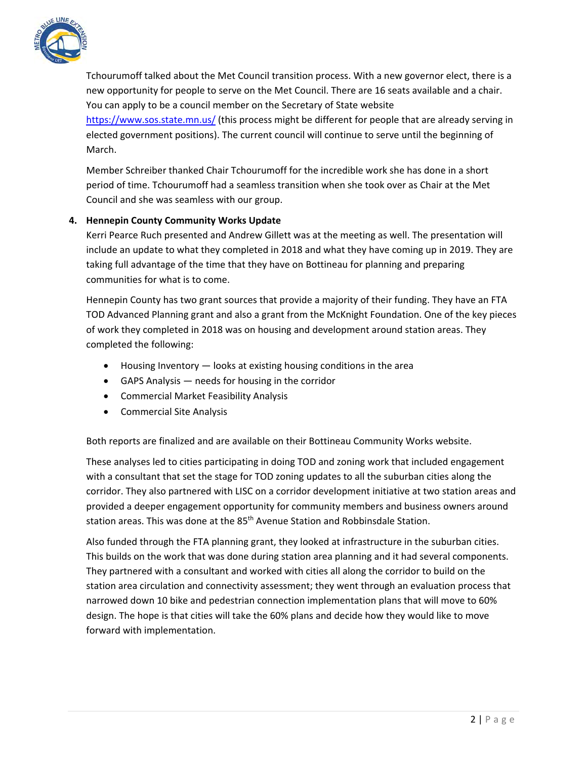

Tchourumoff talked about the Met Council transition process. With a new governor elect, there is a new opportunity for people to serve on the Met Council. There are 16 seats available and a chair. You can apply to be a council member on the Secretary of State website https://www.sos.state.mn.us/ (this process might be different for people that are already serving in elected government positions). The current council will continue to serve until the beginning of March.

Member Schreiber thanked Chair Tchourumoff for the incredible work she has done in a short period of time. Tchourumoff had a seamless transition when she took over as Chair at the Met Council and she was seamless with our group.

### **4. Hennepin County Community Works Update**

Kerri Pearce Ruch presented and Andrew Gillett was at the meeting as well. The presentation will include an update to what they completed in 2018 and what they have coming up in 2019. They are taking full advantage of the time that they have on Bottineau for planning and preparing communities for what is to come.

Hennepin County has two grant sources that provide a majority of their funding. They have an FTA TOD Advanced Planning grant and also a grant from the McKnight Foundation. One of the key pieces of work they completed in 2018 was on housing and development around station areas. They completed the following:

- Housing Inventory looks at existing housing conditions in the area
- GAPS Analysis needs for housing in the corridor
- Commercial Market Feasibility Analysis
- **•** Commercial Site Analysis

Both reports are finalized and are available on their Bottineau Community Works website.

These analyses led to cities participating in doing TOD and zoning work that included engagement with a consultant that set the stage for TOD zoning updates to all the suburban cities along the corridor. They also partnered with LISC on a corridor development initiative at two station areas and provided a deeper engagement opportunity for community members and business owners around station areas. This was done at the 85<sup>th</sup> Avenue Station and Robbinsdale Station.

Also funded through the FTA planning grant, they looked at infrastructure in the suburban cities. This builds on the work that was done during station area planning and it had several components. They partnered with a consultant and worked with cities all along the corridor to build on the station area circulation and connectivity assessment; they went through an evaluation process that narrowed down 10 bike and pedestrian connection implementation plans that will move to 60% design. The hope is that cities will take the 60% plans and decide how they would like to move forward with implementation.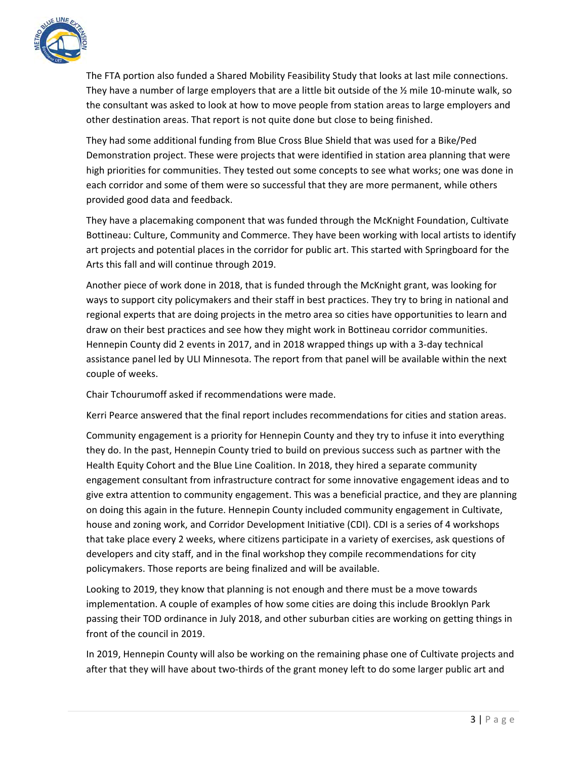

The FTA portion also funded a Shared Mobility Feasibility Study that looks at last mile connections. They have a number of large employers that are a little bit outside of the  $\frac{1}{2}$  mile 10-minute walk, so the consultant was asked to look at how to move people from station areas to large employers and other destination areas. That report is not quite done but close to being finished.

They had some additional funding from Blue Cross Blue Shield that was used for a Bike/Ped Demonstration project. These were projects that were identified in station area planning that were high priorities for communities. They tested out some concepts to see what works; one was done in each corridor and some of them were so successful that they are more permanent, while others provided good data and feedback.

They have a placemaking component that was funded through the McKnight Foundation, Cultivate Bottineau: Culture, Community and Commerce. They have been working with local artists to identify art projects and potential places in the corridor for public art. This started with Springboard for the Arts this fall and will continue through 2019.

Another piece of work done in 2018, that is funded through the McKnight grant, was looking for ways to support city policymakers and their staff in best practices. They try to bring in national and regional experts that are doing projects in the metro area so cities have opportunities to learn and draw on their best practices and see how they might work in Bottineau corridor communities. Hennepin County did 2 events in 2017, and in 2018 wrapped things up with a 3‐day technical assistance panel led by ULI Minnesota. The report from that panel will be available within the next couple of weeks.

Chair Tchourumoff asked if recommendations were made.

Kerri Pearce answered that the final report includes recommendations for cities and station areas.

Community engagement is a priority for Hennepin County and they try to infuse it into everything they do. In the past, Hennepin County tried to build on previous success such as partner with the Health Equity Cohort and the Blue Line Coalition. In 2018, they hired a separate community engagement consultant from infrastructure contract for some innovative engagement ideas and to give extra attention to community engagement. This was a beneficial practice, and they are planning on doing this again in the future. Hennepin County included community engagement in Cultivate, house and zoning work, and Corridor Development Initiative (CDI). CDI is a series of 4 workshops that take place every 2 weeks, where citizens participate in a variety of exercises, ask questions of developers and city staff, and in the final workshop they compile recommendations for city policymakers. Those reports are being finalized and will be available.

Looking to 2019, they know that planning is not enough and there must be a move towards implementation. A couple of examples of how some cities are doing this include Brooklyn Park passing their TOD ordinance in July 2018, and other suburban cities are working on getting things in front of the council in 2019.

In 2019, Hennepin County will also be working on the remaining phase one of Cultivate projects and after that they will have about two-thirds of the grant money left to do some larger public art and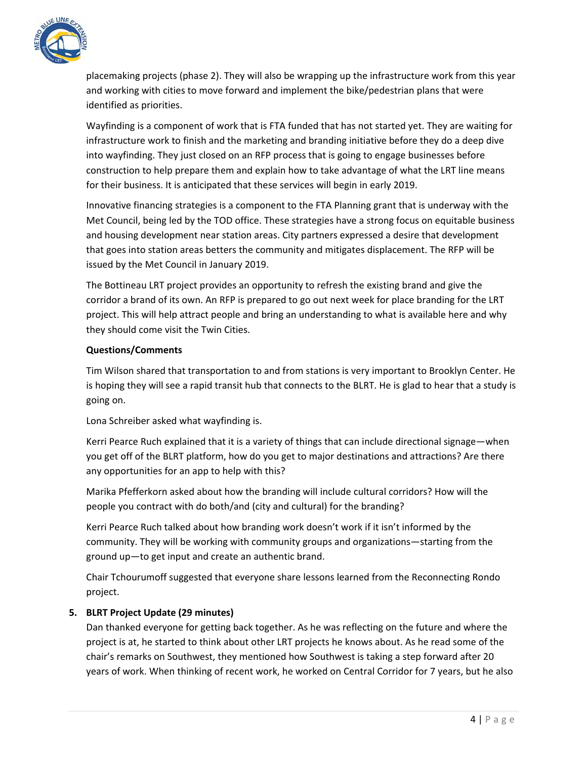

placemaking projects (phase 2). They will also be wrapping up the infrastructure work from this year and working with cities to move forward and implement the bike/pedestrian plans that were identified as priorities.

Wayfinding is a component of work that is FTA funded that has not started yet. They are waiting for infrastructure work to finish and the marketing and branding initiative before they do a deep dive into wayfinding. They just closed on an RFP process that is going to engage businesses before construction to help prepare them and explain how to take advantage of what the LRT line means for their business. It is anticipated that these services will begin in early 2019.

Innovative financing strategies is a component to the FTA Planning grant that is underway with the Met Council, being led by the TOD office. These strategies have a strong focus on equitable business and housing development near station areas. City partners expressed a desire that development that goes into station areas betters the community and mitigates displacement. The RFP will be issued by the Met Council in January 2019.

The Bottineau LRT project provides an opportunity to refresh the existing brand and give the corridor a brand of its own. An RFP is prepared to go out next week for place branding for the LRT project. This will help attract people and bring an understanding to what is available here and why they should come visit the Twin Cities.

### **Questions/Comments**

Tim Wilson shared that transportation to and from stations is very important to Brooklyn Center. He is hoping they will see a rapid transit hub that connects to the BLRT. He is glad to hear that a study is going on.

Lona Schreiber asked what wayfinding is.

Kerri Pearce Ruch explained that it is a variety of things that can include directional signage—when you get off of the BLRT platform, how do you get to major destinations and attractions? Are there any opportunities for an app to help with this?

Marika Pfefferkorn asked about how the branding will include cultural corridors? How will the people you contract with do both/and (city and cultural) for the branding?

Kerri Pearce Ruch talked about how branding work doesn't work if it isn't informed by the community. They will be working with community groups and organizations—starting from the ground up—to get input and create an authentic brand.

Chair Tchourumoff suggested that everyone share lessons learned from the Reconnecting Rondo project.

# **5. BLRT Project Update (29 minutes)**

Dan thanked everyone for getting back together. As he was reflecting on the future and where the project is at, he started to think about other LRT projects he knows about. As he read some of the chair's remarks on Southwest, they mentioned how Southwest is taking a step forward after 20 years of work. When thinking of recent work, he worked on Central Corridor for 7 years, but he also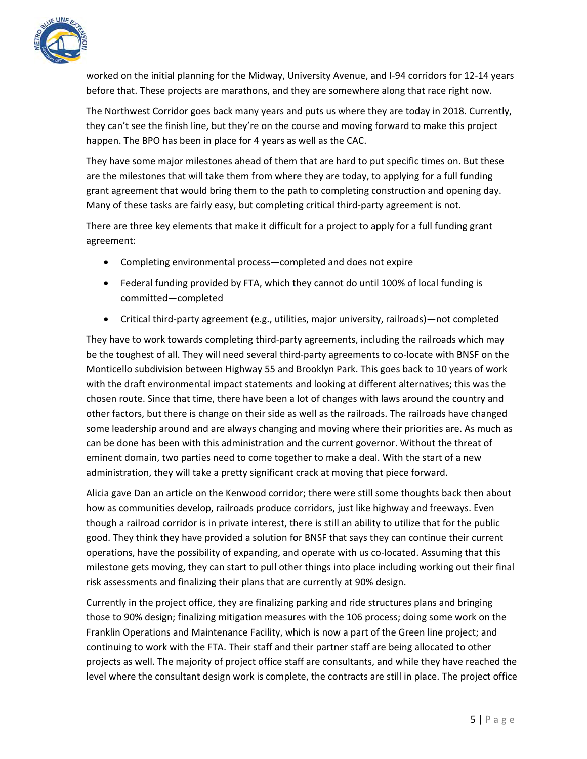

worked on the initial planning for the Midway, University Avenue, and I‐94 corridors for 12‐14 years before that. These projects are marathons, and they are somewhere along that race right now.

The Northwest Corridor goes back many years and puts us where they are today in 2018. Currently, they can't see the finish line, but they're on the course and moving forward to make this project happen. The BPO has been in place for 4 years as well as the CAC.

They have some major milestones ahead of them that are hard to put specific times on. But these are the milestones that will take them from where they are today, to applying for a full funding grant agreement that would bring them to the path to completing construction and opening day. Many of these tasks are fairly easy, but completing critical third-party agreement is not.

There are three key elements that make it difficult for a project to apply for a full funding grant agreement:

- Completing environmental process—completed and does not expire
- Federal funding provided by FTA, which they cannot do until 100% of local funding is committed—completed
- Critical third-party agreement (e.g., utilities, major university, railroads)—not completed

They have to work towards completing third-party agreements, including the railroads which may be the toughest of all. They will need several third-party agreements to co-locate with BNSF on the Monticello subdivision between Highway 55 and Brooklyn Park. This goes back to 10 years of work with the draft environmental impact statements and looking at different alternatives; this was the chosen route. Since that time, there have been a lot of changes with laws around the country and other factors, but there is change on their side as well as the railroads. The railroads have changed some leadership around and are always changing and moving where their priorities are. As much as can be done has been with this administration and the current governor. Without the threat of eminent domain, two parties need to come together to make a deal. With the start of a new administration, they will take a pretty significant crack at moving that piece forward.

Alicia gave Dan an article on the Kenwood corridor; there were still some thoughts back then about how as communities develop, railroads produce corridors, just like highway and freeways. Even though a railroad corridor is in private interest, there is still an ability to utilize that for the public good. They think they have provided a solution for BNSF that says they can continue their current operations, have the possibility of expanding, and operate with us co-located. Assuming that this milestone gets moving, they can start to pull other things into place including working out their final risk assessments and finalizing their plans that are currently at 90% design.

Currently in the project office, they are finalizing parking and ride structures plans and bringing those to 90% design; finalizing mitigation measures with the 106 process; doing some work on the Franklin Operations and Maintenance Facility, which is now a part of the Green line project; and continuing to work with the FTA. Their staff and their partner staff are being allocated to other projects as well. The majority of project office staff are consultants, and while they have reached the level where the consultant design work is complete, the contracts are still in place. The project office